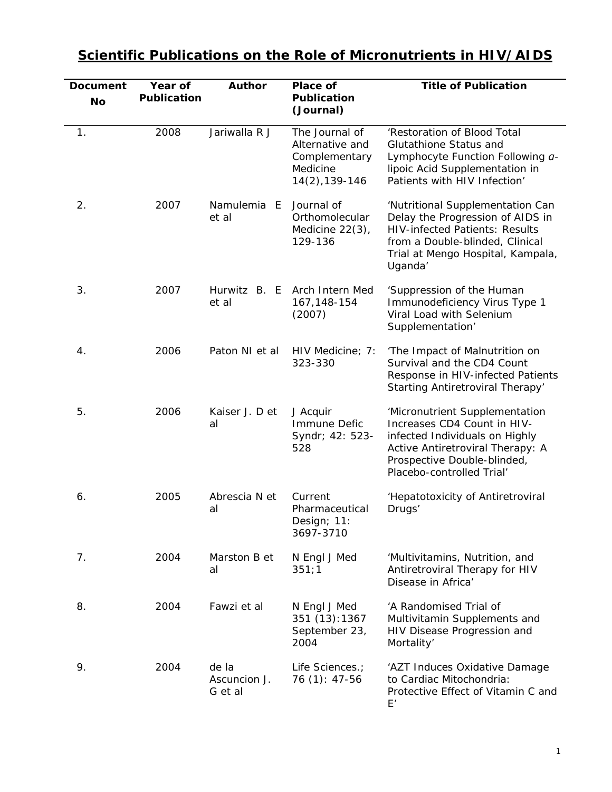| <b>Document</b><br><b>No</b> | Year of<br>Publication | <b>Author</b>                    | Place of<br><b>Publication</b><br>(Journal)                                      | <b>Title of Publication</b>                                                                                                                                                                      |
|------------------------------|------------------------|----------------------------------|----------------------------------------------------------------------------------|--------------------------------------------------------------------------------------------------------------------------------------------------------------------------------------------------|
| $\mathbf{1}$ .               | 2008                   | Jariwalla R J                    | The Journal of<br>Alternative and<br>Complementary<br>Medicine<br>14(2), 139-146 | 'Restoration of Blood Total<br>Glutathione Status and<br>Lymphocyte Function Following a-<br>lipoic Acid Supplementation in<br>Patients with HIV Infection'                                      |
| 2.                           | 2007                   | Namulemia E<br>et al             | Journal of<br>Orthomolecular<br>Medicine $22(3)$ ,<br>129-136                    | 'Nutritional Supplementation Can<br>Delay the Progression of AIDS in<br><b>HIV-infected Patients: Results</b><br>from a Double-blinded, Clinical<br>Trial at Mengo Hospital, Kampala,<br>Uganda' |
| 3.                           | 2007                   | Hurwitz B. E<br>et al            | Arch Intern Med<br>167, 148-154<br>(2007)                                        | 'Suppression of the Human<br>Immunodeficiency Virus Type 1<br>Viral Load with Selenium<br>Supplementation'                                                                                       |
| 4.                           | 2006                   | Paton NI et al                   | HIV Medicine; 7:<br>323-330                                                      | 'The Impact of Malnutrition on<br>Survival and the CD4 Count<br>Response in HIV-infected Patients<br>Starting Antiretroviral Therapy'                                                            |
| 5.                           | 2006                   | Kaiser J. D et<br>al             | J Acquir<br>Immune Defic<br>Syndr; 42: 523-<br>528                               | 'Micronutrient Supplementation<br>Increases CD4 Count in HIV-<br>infected Individuals on Highly<br>Active Antiretroviral Therapy: A<br>Prospective Double-blinded,<br>Placebo-controlled Trial'  |
| 6.                           | 2005                   | Abrescia N et<br>al              | Current<br>Pharmaceutical<br>Design; 11:<br>3697-3710                            | 'Hepatotoxicity of Antiretroviral<br>Drugs'                                                                                                                                                      |
| 7.                           | 2004                   | Marston B et<br>al               | N Engl J Med<br>351;1                                                            | 'Multivitamins, Nutrition, and<br>Antiretroviral Therapy for HIV<br>Disease in Africa'                                                                                                           |
| 8.                           | 2004                   | Fawzi et al                      | N Engl J Med<br>351 (13): 1367<br>September 23,<br>2004                          | 'A Randomised Trial of<br>Multivitamin Supplements and<br>HIV Disease Progression and<br>Mortality'                                                                                              |
| 9.                           | 2004                   | de la<br>Ascuncion J.<br>G et al | Life Sciences.;<br>76 (1): 47-56                                                 | 'AZT Induces Oxidative Damage<br>to Cardiac Mitochondria:<br>Protective Effect of Vitamin C and<br>E'                                                                                            |

## **Scientific Publications on the Role of Micronutrients in HIV/AIDS**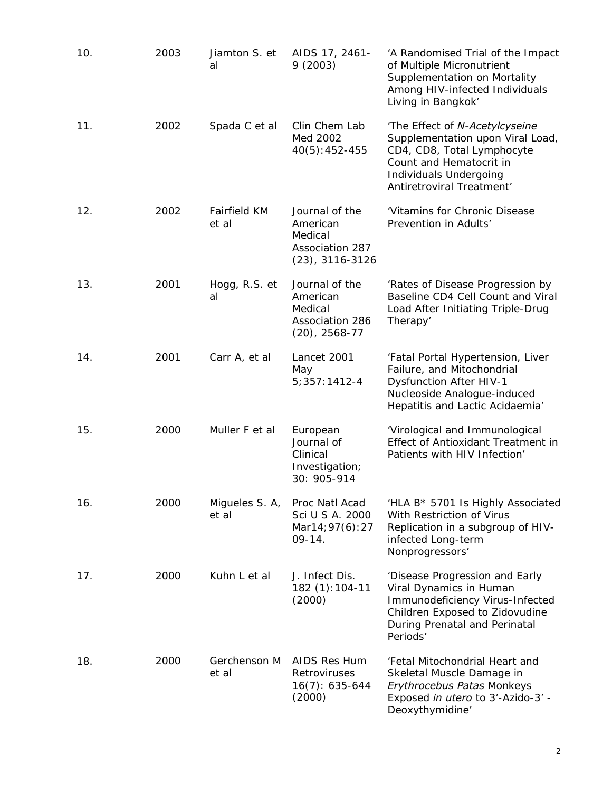| 10. | 2003 | Jiamton S. et<br>al     | AIDS 17, 2461-<br>9(2003)                                                      | 'A Randomised Trial of the Impact<br>of Multiple Micronutrient<br>Supplementation on Mortality<br>Among HIV-infected Individuals<br>Living in Bangkok'                             |
|-----|------|-------------------------|--------------------------------------------------------------------------------|------------------------------------------------------------------------------------------------------------------------------------------------------------------------------------|
| 11. | 2002 | Spada C et al           | Clin Chem Lab<br>Med 2002<br>$40(5): 452 - 455$                                | 'The Effect of N-Acetylcyseine<br>Supplementation upon Viral Load,<br>CD4, CD8, Total Lymphocyte<br>Count and Hematocrit in<br>Individuals Undergoing<br>Antiretroviral Treatment' |
| 12. | 2002 | Fairfield KM<br>et al   | Journal of the<br>American<br>Medical<br>Association 287<br>$(23)$ , 3116-3126 | 'Vitamins for Chronic Disease<br>Prevention in Adults'                                                                                                                             |
| 13. | 2001 | Hogg, R.S. et<br>al     | Journal of the<br>American<br>Medical<br>Association 286<br>$(20)$ , 2568-77   | 'Rates of Disease Progression by<br>Baseline CD4 Cell Count and Viral<br>Load After Initiating Triple-Drug<br>Therapy'                                                             |
| 14. | 2001 | Carr A, et al           | Lancet 2001<br>May<br>$5;357:1412-4$                                           | 'Fatal Portal Hypertension, Liver<br>Failure, and Mitochondrial<br><b>Dysfunction After HIV-1</b><br>Nucleoside Analogue-induced<br>Hepatitis and Lactic Acidaemia'                |
| 15. | 2000 | Muller F et al          | European<br>Journal of<br>Clinical<br>Investigation;<br>30: 905-914            | 'Virological and Immunological<br>Effect of Antioxidant Treatment in<br>Patients with HIV Infection'                                                                               |
| 16. | 2000 | Migueles S. A,<br>et al | Proc Natl Acad<br>Sci U S A. 2000<br>Mar14; 97(6): 27<br>$09-14.$              | 'HLA B* 5701 Is Highly Associated<br>With Restriction of Virus<br>Replication in a subgroup of HIV-<br>infected Long-term<br>Nonprogressors'                                       |
| 17. | 2000 | Kuhn L et al            | J. Infect Dis.<br>182 (1):104-11<br>(2000)                                     | 'Disease Progression and Early<br>Viral Dynamics in Human<br>Immunodeficiency Virus-Infected<br>Children Exposed to Zidovudine<br>During Prenatal and Perinatal<br>Periods'        |
| 18. | 2000 | Gerchenson M<br>et al   | AIDS Res Hum<br>Retroviruses<br>$16(7): 635-644$<br>(2000)                     | 'Fetal Mitochondrial Heart and<br>Skeletal Muscle Damage in<br>Erythrocebus Patas Monkeys<br>Exposed in utero to 3'-Azido-3' -<br>Deoxythymidine'                                  |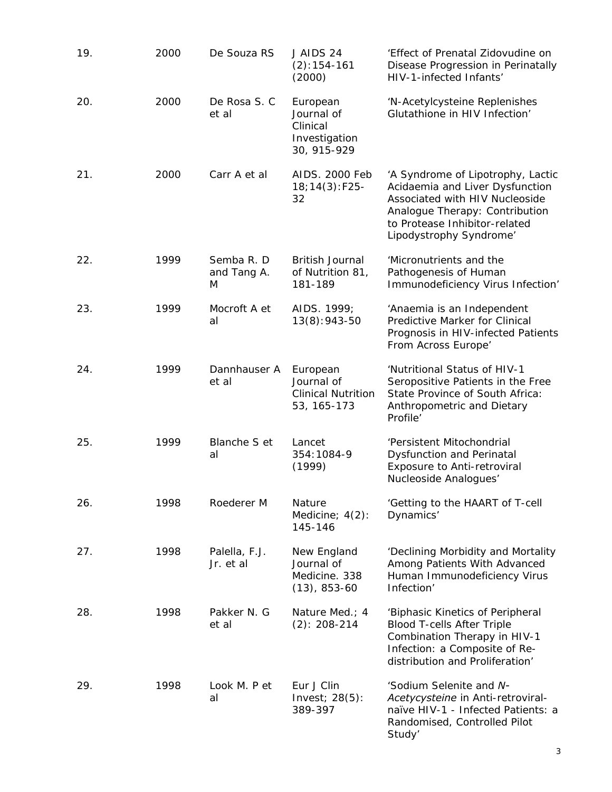| 19. | 2000 | De Souza RS                    | J AIDS 24<br>$(2): 154 - 161$<br>(2000)                            | 'Effect of Prenatal Zidovudine on<br>Disease Progression in Perinatally<br>HIV-1-infected Infants'                                                                                                   |
|-----|------|--------------------------------|--------------------------------------------------------------------|------------------------------------------------------------------------------------------------------------------------------------------------------------------------------------------------------|
| 20. | 2000 | De Rosa S. C<br>et al          | European<br>Journal of<br>Clinical<br>Investigation<br>30, 915-929 | 'N-Acetylcysteine Replenishes<br>Glutathione in HIV Infection'                                                                                                                                       |
| 21. | 2000 | Carr A et al                   | AIDS. 2000 Feb<br>$18; 14(3): F25-$<br>32                          | 'A Syndrome of Lipotrophy, Lactic<br>Acidaemia and Liver Dysfunction<br>Associated with HIV Nucleoside<br>Analogue Therapy: Contribution<br>to Protease Inhibitor-related<br>Lipodystrophy Syndrome' |
| 22. | 1999 | Semba R. D<br>and Tang A.<br>M | <b>British Journal</b><br>of Nutrition 81,<br>181-189              | 'Micronutrients and the<br>Pathogenesis of Human<br>Immunodeficiency Virus Infection'                                                                                                                |
| 23. | 1999 | Mocroft A et<br>al             | AIDS. 1999;<br>$13(8):943-50$                                      | 'Anaemia is an Independent<br>Predictive Marker for Clinical<br>Prognosis in HIV-infected Patients<br>From Across Europe'                                                                            |
| 24. | 1999 | Dannhauser A<br>et al          | European<br>Journal of<br><b>Clinical Nutrition</b><br>53, 165-173 | 'Nutritional Status of HIV-1<br>Seropositive Patients in the Free<br>State Province of South Africa:<br>Anthropometric and Dietary<br>Profile'                                                       |
| 25. | 1999 | Blanche S et<br>al             | Lancet<br>354:1084-9<br>(1999)                                     | 'Persistent Mitochondrial<br>Dysfunction and Perinatal<br>Exposure to Anti-retroviral<br>Nucleoside Analogues'                                                                                       |
| 26. | 1998 | Roederer M                     | Nature<br>Medicine; $4(2)$ :<br>145-146                            | 'Getting to the HAART of T-cell<br>Dynamics'                                                                                                                                                         |
| 27. | 1998 | Palella, F.J.<br>Jr. et al     | New England<br>Journal of<br>Medicine. 338<br>$(13)$ , 853-60      | 'Declining Morbidity and Mortality<br>Among Patients With Advanced<br>Human Immunodeficiency Virus<br>Infection'                                                                                     |
| 28. | 1998 | Pakker N. G<br>et al           | Nature Med.; 4<br>$(2): 208-214$                                   | 'Biphasic Kinetics of Peripheral<br><b>Blood T-cells After Triple</b><br>Combination Therapy in HIV-1<br>Infection: a Composite of Re-<br>distribution and Proliferation'                            |
| 29. | 1998 | Look M. P et<br>al             | Eur J Clin<br>Invest; $28(5)$ :<br>389-397                         | 'Sodium Selenite and N-<br>Acetycysteine in Anti-retroviral-<br>naïve HIV-1 - Infected Patients: a<br>Randomised, Controlled Pilot<br>Study'                                                         |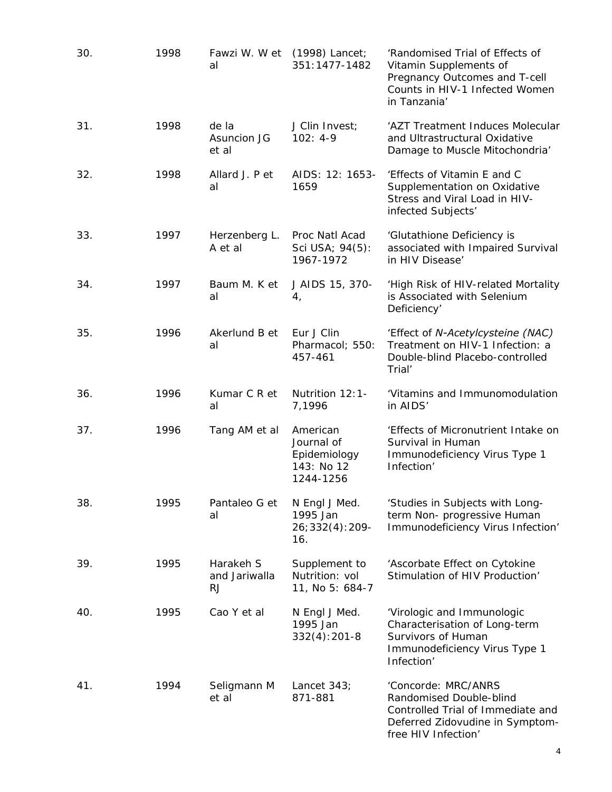| 30. | 1998 | Fawzi W. W et (1998) Lancet;<br>al | 351:1477-1482                                                     | 'Randomised Trial of Effects of<br>Vitamin Supplements of<br>Pregnancy Outcomes and T-cell<br>Counts in HIV-1 Infected Women<br>in Tanzania'  |
|-----|------|------------------------------------|-------------------------------------------------------------------|-----------------------------------------------------------------------------------------------------------------------------------------------|
| 31. | 1998 | de la<br>Asuncion JG<br>et al      | J Clin Invest;<br>$102: 4-9$                                      | 'AZT Treatment Induces Molecular<br>and Ultrastructural Oxidative<br>Damage to Muscle Mitochondria'                                           |
| 32. | 1998 | Allard J. P et<br>al               | AIDS: 12: 1653-<br>1659                                           | 'Effects of Vitamin E and C<br>Supplementation on Oxidative<br>Stress and Viral Load in HIV-<br>infected Subjects'                            |
| 33. | 1997 | Herzenberg L.<br>A et al           | Proc Natl Acad<br>Sci USA; 94(5):<br>1967-1972                    | 'Glutathione Deficiency is<br>associated with Impaired Survival<br>in HIV Disease'                                                            |
| 34. | 1997 | Baum M. K et<br>al                 | J AIDS 15, 370-<br>4,                                             | 'High Risk of HIV-related Mortality<br>is Associated with Selenium<br>Deficiency'                                                             |
| 35. | 1996 | Akerlund B et<br>al                | Eur J Clin<br>Pharmacol; 550:<br>457-461                          | 'Effect of N-Acetylcysteine (NAC)<br>Treatment on HIV-1 Infection: a<br>Double-blind Placebo-controlled<br>Trial'                             |
| 36. | 1996 | Kumar C R et<br>al                 | Nutrition 12:1-<br>7,1996                                         | 'Vitamins and Immunomodulation<br>in AIDS'                                                                                                    |
| 37. | 1996 | Tang AM et al                      | American<br>Journal of<br>Epidemiology<br>143: No 12<br>1244-1256 | 'Effects of Micronutrient Intake on<br>Survival in Human<br>Immunodeficiency Virus Type 1<br>Infection'                                       |
| 38. | 1995 | Pantaleo G et<br>al                | N Engl J Med.<br>1995 Jan<br>$26;332(4):209-$<br>16.              | 'Studies in Subjects with Long-<br>term Non- progressive Human<br>Immunodeficiency Virus Infection'                                           |
| 39. | 1995 | Harakeh S<br>and Jariwalla<br>RJ   | Supplement to<br>Nutrition: vol<br>11, No 5: 684-7                | 'Ascorbate Effect on Cytokine<br>Stimulation of HIV Production'                                                                               |
| 40. | 1995 | Cao Y et al                        | N Engl J Med.<br>1995 Jan<br>$332(4):201-8$                       | 'Virologic and Immunologic<br>Characterisation of Long-term<br>Survivors of Human<br>Immunodeficiency Virus Type 1<br>Infection'              |
| 41. | 1994 | Seligmann M<br>et al               | Lancet $343$ ;<br>871-881                                         | 'Concorde: MRC/ANRS<br>Randomised Double-blind<br>Controlled Trial of Immediate and<br>Deferred Zidovudine in Symptom-<br>free HIV Infection' |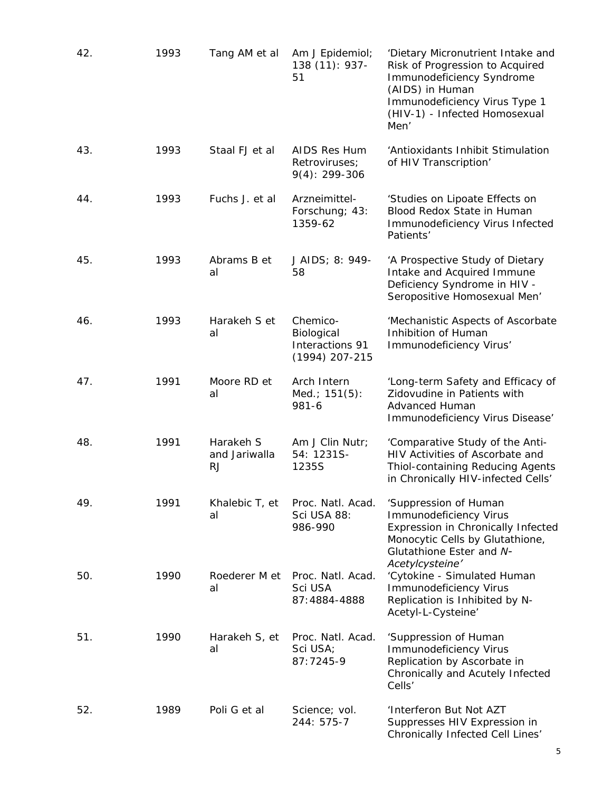| 42. | 1993 | Tang AM et al                           | Am J Epidemiol;<br>138 (11): 937-<br>51                     | 'Dietary Micronutrient Intake and<br>Risk of Progression to Acquired<br>Immunodeficiency Syndrome<br>(AIDS) in Human<br>Immunodeficiency Virus Type 1<br>(HIV-1) - Infected Homosexual<br>Men' |
|-----|------|-----------------------------------------|-------------------------------------------------------------|------------------------------------------------------------------------------------------------------------------------------------------------------------------------------------------------|
| 43. | 1993 | Staal FJ et al                          | AIDS Res Hum<br>Retroviruses;<br>$9(4): 299-306$            | 'Antioxidants Inhibit Stimulation<br>of HIV Transcription'                                                                                                                                     |
| 44. | 1993 | Fuchs J. et al                          | Arzneimittel-<br>Forschung; 43:<br>1359-62                  | 'Studies on Lipoate Effects on<br>Blood Redox State in Human<br>Immunodeficiency Virus Infected<br>Patients'                                                                                   |
| 45. | 1993 | Abrams B et<br>al                       | J AIDS; 8: 949-<br>58                                       | 'A Prospective Study of Dietary<br>Intake and Acquired Immune<br>Deficiency Syndrome in HIV -<br>Seropositive Homosexual Men'                                                                  |
| 46. | 1993 | Harakeh S et<br>al                      | Chemico-<br>Biological<br>Interactions 91<br>(1994) 207-215 | 'Mechanistic Aspects of Ascorbate<br>Inhibition of Human<br>Immunodeficiency Virus'                                                                                                            |
| 47. | 1991 | Moore RD et<br>al                       | Arch Intern<br>Med.; 151(5):<br>981-6                       | 'Long-term Safety and Efficacy of<br>Zidovudine in Patients with<br><b>Advanced Human</b><br>Immunodeficiency Virus Disease'                                                                   |
| 48. | 1991 | Harakeh S<br>and Jariwalla<br><b>RJ</b> | Am J Clin Nutr;<br>54: 1231S-<br>1235S                      | 'Comparative Study of the Anti-<br>HIV Activities of Ascorbate and<br>Thiol-containing Reducing Agents<br>in Chronically HIV-infected Cells'                                                   |
| 49. | 1991 | Khalebic T, et<br>al                    | Proc. Natl. Acad.<br>Sci USA 88:<br>986-990                 | 'Suppression of Human<br><b>Immunodeficiency Virus</b><br>Expression in Chronically Infected<br>Monocytic Cells by Glutathione,<br>Glutathione Ester and N-<br>Acetylcysteine'                 |
| 50. | 1990 | Roederer M et<br>al                     | Proc. Natl. Acad.<br>Sci USA<br>87:4884-4888                | 'Cytokine - Simulated Human<br><b>Immunodeficiency Virus</b><br>Replication is Inhibited by N-<br>Acetyl-L-Cysteine'                                                                           |
| 51. | 1990 | Harakeh S, et<br>al                     | Proc. Natl. Acad.<br>Sci USA;<br>87:7245-9                  | 'Suppression of Human<br><b>Immunodeficiency Virus</b><br>Replication by Ascorbate in<br>Chronically and Acutely Infected<br>Cells'                                                            |
| 52. | 1989 | Poli G et al                            | Science; vol.<br>244: 575-7                                 | 'Interferon But Not AZT<br>Suppresses HIV Expression in<br>Chronically Infected Cell Lines'                                                                                                    |